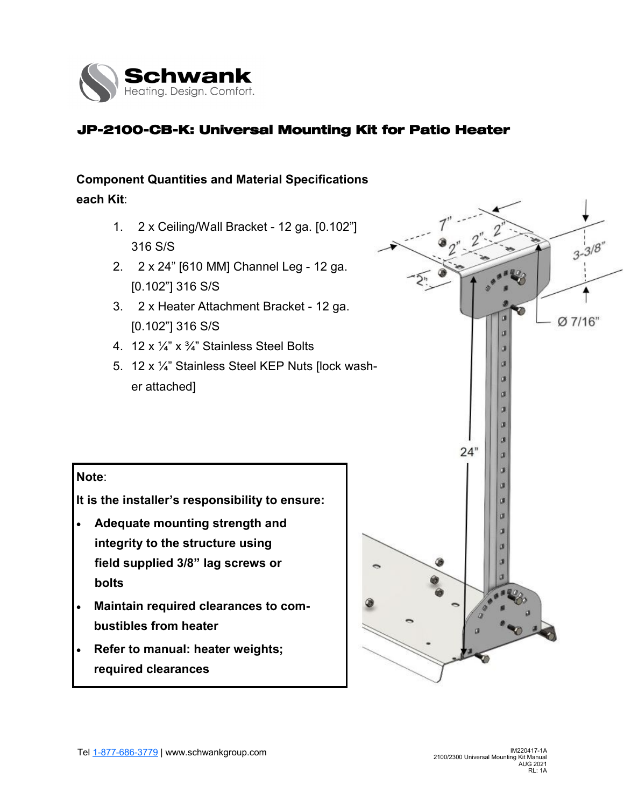

## JP-2100-CB-K: Universal Mounting Kit for Patio Heater

# **Component Quantities and Material Specifications**

**each Kit**:

- 1. 2 x Ceiling/Wall Bracket 12 ga. [0.102"] 316 S/S
- 2. 2 x 24" [610 MM] Channel Leg 12 ga. [0.102"] 316 S/S
- 3. 2 x Heater Attachment Bracket 12 ga. [0.102"] 316 S/S
- 4. 12 x ¼" x ¾" Stainless Steel Bolts
- 5. 12 x ¼" Stainless Steel KEP Nuts [lock washer attached]

#### **Note**:

**It is the installer's responsibility to ensure:**

- **Adequate mounting strength and integrity to the structure using field supplied 3/8" lag screws or bolts**
- **Maintain required clearances to combustibles from heater**
- **Refer to manual: heater weights; required clearances**